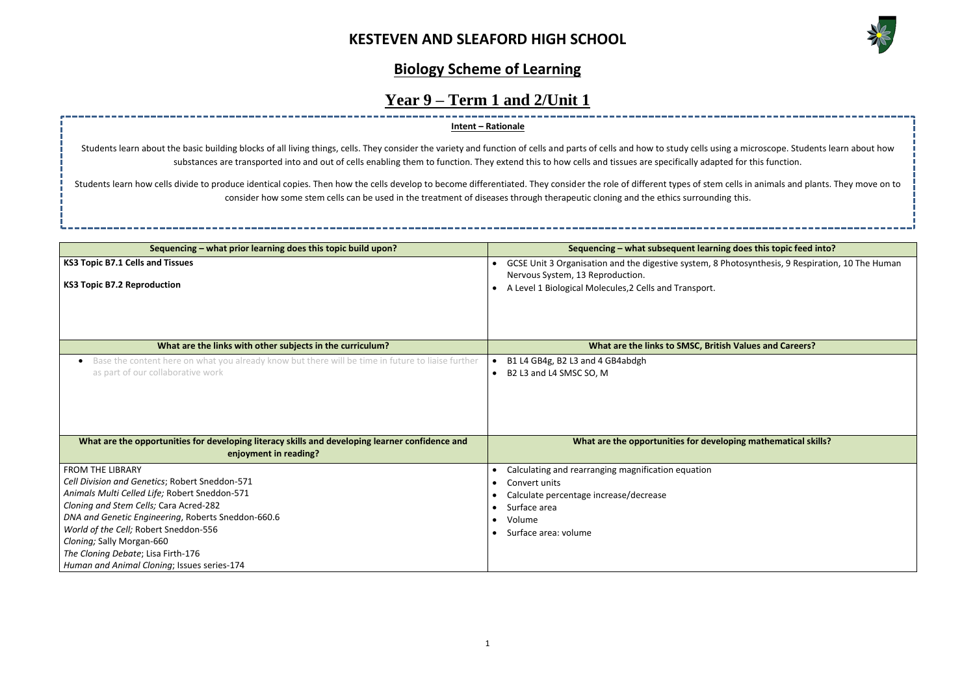

# **Sequencing inding does this topic feed into?** btosynthesis, 9 Respiration, 10 The Human **Ing mathematical skills?**

# **Biology Scheme of Learning**

# **Year 9 – Term 1 and 2/Unit 1**

| Sequencing - what prior learning does this topic build upon?                                                                           |                        | Sequencing – what subsequent learning does this topic feed                                                                                                                 |
|----------------------------------------------------------------------------------------------------------------------------------------|------------------------|----------------------------------------------------------------------------------------------------------------------------------------------------------------------------|
| <b>KS3 Topic B7.1 Cells and Tissues</b><br><b>KS3 Topic B7.2 Reproduction</b>                                                          | $\bullet$              | GCSE Unit 3 Organisation and the digestive system, 8 Photosynthesis, 9 Respi<br>Nervous System, 13 Reproduction.<br>A Level 1 Biological Molecules, 2 Cells and Transport. |
|                                                                                                                                        |                        |                                                                                                                                                                            |
| What are the links with other subjects in the curriculum?                                                                              |                        | What are the links to SMSC, British Values and Careers?                                                                                                                    |
| Base the content here on what you already know but there will be time in future to liaise further<br>as part of our collaborative work | $\bullet$<br>$\bullet$ | B1 L4 GB4g, B2 L3 and 4 GB4abdgh<br>B2 L3 and L4 SMSC SO, M                                                                                                                |
|                                                                                                                                        |                        |                                                                                                                                                                            |
| What are the opportunities for developing literacy skills and developing learner confidence and<br>enjoyment in reading?               |                        | What are the opportunities for developing mathematical sk                                                                                                                  |
| <b>FROM THE LIBRARY</b>                                                                                                                |                        | Calculating and rearranging magnification equation                                                                                                                         |
| Cell Division and Genetics; Robert Sneddon-571                                                                                         |                        | Convert units                                                                                                                                                              |
| Animals Multi Celled Life; Robert Sneddon-571                                                                                          |                        | Calculate percentage increase/decrease                                                                                                                                     |
| Cloning and Stem Cells; Cara Acred-282                                                                                                 |                        | Surface area                                                                                                                                                               |
| DNA and Genetic Engineering, Roberts Sneddon-660.6                                                                                     |                        | Volume                                                                                                                                                                     |
| World of the Cell; Robert Sneddon-556                                                                                                  |                        | Surface area: volume                                                                                                                                                       |
| Cloning; Sally Morgan-660                                                                                                              |                        |                                                                                                                                                                            |
| The Cloning Debate; Lisa Firth-176                                                                                                     |                        |                                                                                                                                                                            |
| Human and Animal Cloning; Issues series-174                                                                                            |                        |                                                                                                                                                                            |

Students learn about the basic building blocks of all living things, cells. They consider the variety and function of cells and parts of cells and how to study cells using a microscope. Students learn about how substances are transported into and out of cells enabling them to function. They extend this to how cells and tissues are specifically adapted for this function.

Students learn how cells divide to produce identical copies. Then how the cells develop to become differentiated. They consider the role of different types of stem cells in animals and plants. They move on to consider how some stem cells can be used in the treatment of diseases through therapeutic cloning and the ethics surrounding this.

## **Intent – Rationale**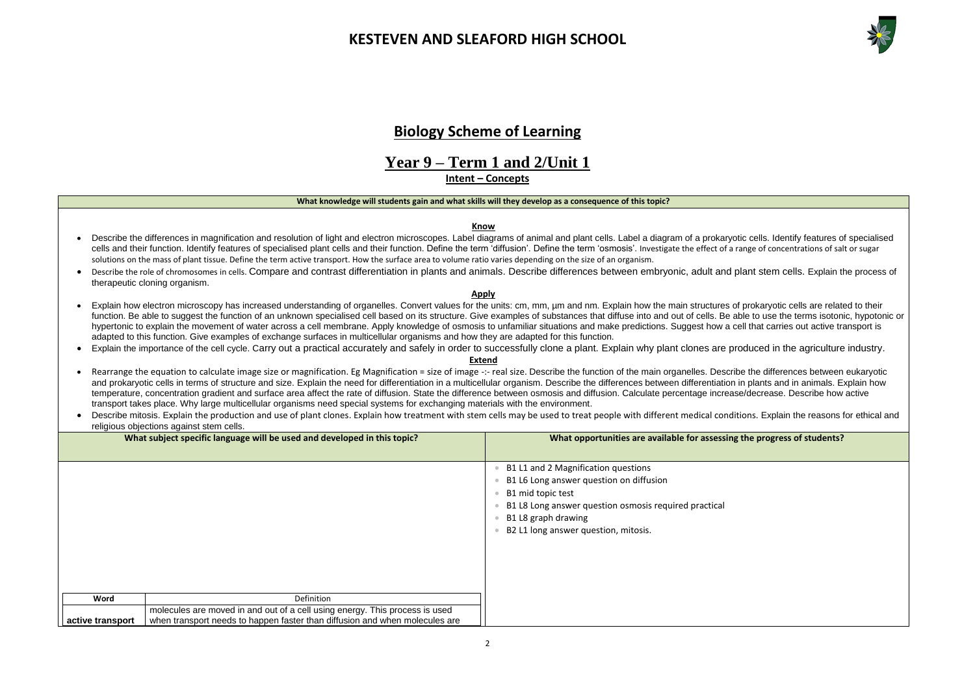



### **the progress of students?**

# **Biology Scheme of Learning**

# **Year 9 – Term 1 and 2/Unit 1**

**Intent – Concepts**

### **What knowledge will students gain and what skills will they develop as a consequence of this topic?**

### **Know**

- Describe the differences in magnification and resolution of light and electron microscopes. Label diagrams of animal and plant cells. Label a diagram of a prokaryotic cells. Identify features of specialised cells and their function. Identify features of specialised plant cells and their function. Define the term 'diffusion'. Define the term 'osmosis'. Investigate the effect of a range of concentrations of salt or sugar solutions on the mass of plant tissue. Define the term active transport. How the surface area to volume ratio varies depending on the size of an organism.
- Describe the role of chromosomes in cells. Compare and contrast differentiation in plants and animals. Describe differences between embryonic, adult and plant stem cells. Explain the process of therapeutic cloning organism.

- Explain how electron microscopy has increased understanding of organelles. Convert values for the units: cm, mm, um and nm. Explain how the main structures of prokaryotic cells are related to their function. Be able to suggest the function of an unknown specialised cell based on its structure. Give examples of substances that diffuse into and out of cells. Be able to use the terms isotonic, hypotonic or hypertonic to explain the movement of water across a cell membrane. Apply knowledge of osmosis to unfamiliar situations and make predictions. Suggest how a cell that carries out active transport is adapted to this function. Give examples of exchange surfaces in multicellular organisms and how they are adapted for this function.
- Explain the importance of the cell cycle. Carry out a practical accurately and safely in order to successfully clone a plant. Explain why plant clones are produced in the agriculture industry.

### **Apply**

- Rearrange the equation to calculate image size or magnification. Eg Magnification = size of image -:- real size. Describe the function of the main organelles. Describe the differences between eukaryotic and prokaryotic cells in terms of structure and size. Explain the need for differentiation in a multicellular organism. Describe the differences between differentiation in plants and in animals. Explain how temperature, concentration gradient and surface area affect the rate of diffusion. State the difference between osmosis and diffusion. Calculate percentage increase/decrease. Describe how active transport takes place. Why large multicellular organisms need special systems for exchanging materials with the environment.
- Describe mitosis. Explain the production and use of plant clones. Explain how treatment with stem cells may be used to treat people with different medical conditions. Explain the reasons for ethical and religious objections against stem cells.

### **Extend**

|                  | What subject specific language will be used and developed in this topic?                                                                                   | What opportunities are available for assessing                                                                                                                                                                              |
|------------------|------------------------------------------------------------------------------------------------------------------------------------------------------------|-----------------------------------------------------------------------------------------------------------------------------------------------------------------------------------------------------------------------------|
|                  |                                                                                                                                                            | B1 L1 and 2 Magnification questions<br>B1 L6 Long answer question on diffusion<br>B1 mid topic test<br>B1 L8 Long answer question osmosis required practical<br>B1 L8 graph drawing<br>B2 L1 long answer question, mitosis. |
| Word             | Definition                                                                                                                                                 |                                                                                                                                                                                                                             |
| active transport | molecules are moved in and out of a cell using energy. This process is used<br>when transport needs to happen faster than diffusion and when molecules are |                                                                                                                                                                                                                             |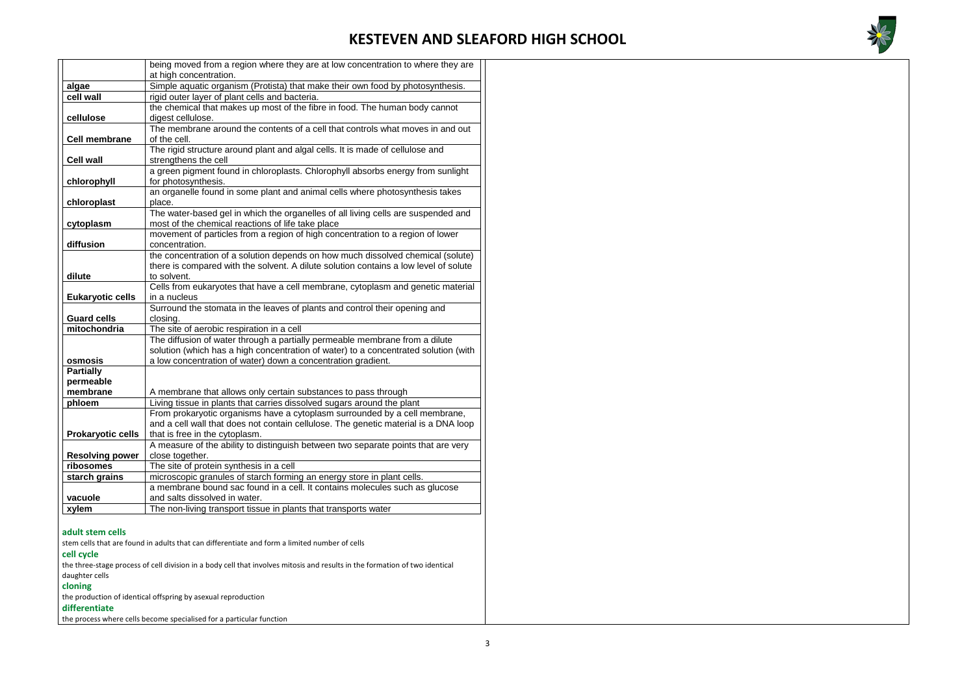

|                                                                                                                             | being moved from a region where they are at low concentration to where they are                                                                                    |  |  |  |
|-----------------------------------------------------------------------------------------------------------------------------|--------------------------------------------------------------------------------------------------------------------------------------------------------------------|--|--|--|
|                                                                                                                             | at high concentration.                                                                                                                                             |  |  |  |
| algae<br>cell wall                                                                                                          | Simple aquatic organism (Protista) that make their own food by photosynthesis.                                                                                     |  |  |  |
|                                                                                                                             | rigid outer layer of plant cells and bacteria.                                                                                                                     |  |  |  |
| cellulose                                                                                                                   | the chemical that makes up most of the fibre in food. The human body cannot                                                                                        |  |  |  |
|                                                                                                                             | digest cellulose.<br>The membrane around the contents of a cell that controls what moves in and out                                                                |  |  |  |
| <b>Cell membrane</b>                                                                                                        | of the cell.                                                                                                                                                       |  |  |  |
|                                                                                                                             | The rigid structure around plant and algal cells. It is made of cellulose and                                                                                      |  |  |  |
| <b>Cell wall</b>                                                                                                            | strengthens the cell                                                                                                                                               |  |  |  |
|                                                                                                                             | a green pigment found in chloroplasts. Chlorophyll absorbs energy from sunlight                                                                                    |  |  |  |
| chlorophyll                                                                                                                 | for photosynthesis.                                                                                                                                                |  |  |  |
|                                                                                                                             | an organelle found in some plant and animal cells where photosynthesis takes                                                                                       |  |  |  |
| chloroplast                                                                                                                 | place.                                                                                                                                                             |  |  |  |
|                                                                                                                             | The water-based gel in which the organelles of all living cells are suspended and                                                                                  |  |  |  |
| cytoplasm                                                                                                                   | most of the chemical reactions of life take place                                                                                                                  |  |  |  |
|                                                                                                                             | movement of particles from a region of high concentration to a region of lower                                                                                     |  |  |  |
| diffusion                                                                                                                   | concentration.                                                                                                                                                     |  |  |  |
|                                                                                                                             | the concentration of a solution depends on how much dissolved chemical (solute)                                                                                    |  |  |  |
|                                                                                                                             | there is compared with the solvent. A dilute solution contains a low level of solute                                                                               |  |  |  |
| dilute                                                                                                                      | to solvent.                                                                                                                                                        |  |  |  |
|                                                                                                                             | Cells from eukaryotes that have a cell membrane, cytoplasm and genetic material                                                                                    |  |  |  |
| <b>Eukaryotic cells</b>                                                                                                     | in a nucleus                                                                                                                                                       |  |  |  |
|                                                                                                                             | Surround the stomata in the leaves of plants and control their opening and                                                                                         |  |  |  |
| <b>Guard cells</b>                                                                                                          | closing.                                                                                                                                                           |  |  |  |
| mitochondria                                                                                                                | The site of aerobic respiration in a cell                                                                                                                          |  |  |  |
|                                                                                                                             | The diffusion of water through a partially permeable membrane from a dilute<br>solution (which has a high concentration of water) to a concentrated solution (with |  |  |  |
| osmosis                                                                                                                     | a low concentration of water) down a concentration gradient.                                                                                                       |  |  |  |
| <b>Partially</b>                                                                                                            |                                                                                                                                                                    |  |  |  |
| permeable                                                                                                                   |                                                                                                                                                                    |  |  |  |
| membrane                                                                                                                    | A membrane that allows only certain substances to pass through                                                                                                     |  |  |  |
| phloem                                                                                                                      | Living tissue in plants that carries dissolved sugars around the plant                                                                                             |  |  |  |
|                                                                                                                             | From prokaryotic organisms have a cytoplasm surrounded by a cell membrane,                                                                                         |  |  |  |
|                                                                                                                             | and a cell wall that does not contain cellulose. The genetic material is a DNA loop                                                                                |  |  |  |
| <b>Prokaryotic cells</b>                                                                                                    | that is free in the cytoplasm.                                                                                                                                     |  |  |  |
|                                                                                                                             | A measure of the ability to distinguish between two separate points that are very                                                                                  |  |  |  |
| <b>Resolving power</b>                                                                                                      | close together.                                                                                                                                                    |  |  |  |
| ribosomes                                                                                                                   | The site of protein synthesis in a cell                                                                                                                            |  |  |  |
| starch grains                                                                                                               | microscopic granules of starch forming an energy store in plant cells.                                                                                             |  |  |  |
|                                                                                                                             | a membrane bound sac found in a cell. It contains molecules such as glucose                                                                                        |  |  |  |
| vacuole                                                                                                                     | and salts dissolved in water.                                                                                                                                      |  |  |  |
| xylem                                                                                                                       | The non-living transport tissue in plants that transports water                                                                                                    |  |  |  |
|                                                                                                                             |                                                                                                                                                                    |  |  |  |
| adult stem cells                                                                                                            |                                                                                                                                                                    |  |  |  |
| stem cells that are found in adults that can differentiate and form a limited number of cells                               |                                                                                                                                                                    |  |  |  |
| cell cycle                                                                                                                  |                                                                                                                                                                    |  |  |  |
| the three-stage process of cell division in a body cell that involves mitosis and results in the formation of two identical |                                                                                                                                                                    |  |  |  |
| daughter cells                                                                                                              |                                                                                                                                                                    |  |  |  |
| cloning                                                                                                                     | the production of identical offspring by asexual reproduction                                                                                                      |  |  |  |
|                                                                                                                             |                                                                                                                                                                    |  |  |  |
| differentiate                                                                                                               |                                                                                                                                                                    |  |  |  |
| the process where cells become specialised for a particular function                                                        |                                                                                                                                                                    |  |  |  |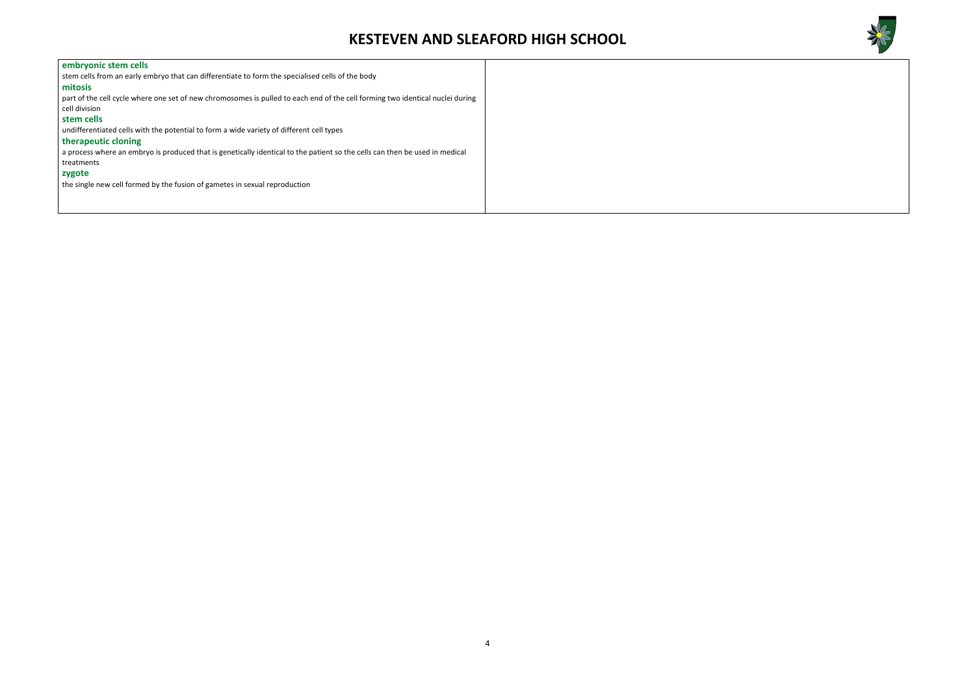

| embryonic stem cells<br>stem cells from an early embryo that can differentiate to form the specialised cells of the body      |
|-------------------------------------------------------------------------------------------------------------------------------|
|                                                                                                                               |
|                                                                                                                               |
| mitosis                                                                                                                       |
| part of the cell cycle where one set of new chromosomes is pulled to each end of the cell forming two identical nuclei during |
| cell division                                                                                                                 |
| stem cells                                                                                                                    |
| undifferentiated cells with the potential to form a wide variety of different cell types                                      |
| therapeutic cloning                                                                                                           |
| a process where an embryo is produced that is genetically identical to the patient so the cells can then be used in medical   |
| treatments                                                                                                                    |
| zygote                                                                                                                        |
| the single new cell formed by the fusion of gametes in sexual reproduction                                                    |
|                                                                                                                               |
|                                                                                                                               |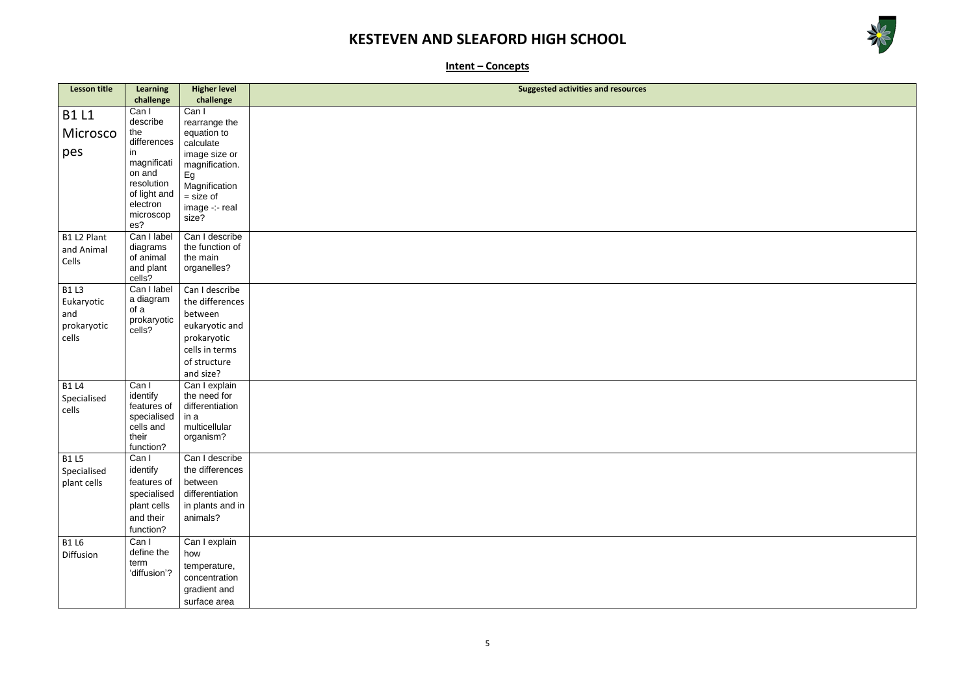

| <u> 1980 - Johann Stoff, deutscher Stoffen und der Stoffen und der Stoffen und der Stoffen und der Stoffen und der</u> |  |  |
|------------------------------------------------------------------------------------------------------------------------|--|--|
|                                                                                                                        |  |  |
|                                                                                                                        |  |  |
|                                                                                                                        |  |  |
|                                                                                                                        |  |  |
|                                                                                                                        |  |  |
|                                                                                                                        |  |  |
|                                                                                                                        |  |  |
|                                                                                                                        |  |  |
|                                                                                                                        |  |  |
|                                                                                                                        |  |  |
|                                                                                                                        |  |  |
|                                                                                                                        |  |  |
|                                                                                                                        |  |  |
|                                                                                                                        |  |  |
|                                                                                                                        |  |  |
|                                                                                                                        |  |  |
|                                                                                                                        |  |  |
|                                                                                                                        |  |  |

**Intent – Concepts**

| <b>Lesson title</b> | <b>Learning</b>            | <b>Higher level</b>   | <b>Suggested activities and resources</b> |
|---------------------|----------------------------|-----------------------|-------------------------------------------|
|                     | challenge                  | challenge             |                                           |
|                     | Can I                      | Can I                 |                                           |
| <b>B1 L1</b>        | describe                   | rearrange the         |                                           |
| Microsco            | the                        | equation to           |                                           |
|                     | differences                | calculate             |                                           |
| pes                 | in                         | image size or         |                                           |
|                     | magnificati                | magnification.        |                                           |
|                     | on and                     | Eg                    |                                           |
|                     | resolution<br>of light and | Magnification         |                                           |
|                     | electron                   | $=$ size of           |                                           |
|                     | microscop                  | image -:- real        |                                           |
|                     | es?                        | size?                 |                                           |
| B1 L2 Plant         | Can I label                | Can I describe        |                                           |
| and Animal          | diagrams                   | the function of       |                                           |
| Cells               | of animal                  | the main              |                                           |
|                     | and plant                  | organelles?           |                                           |
|                     | cells?                     |                       |                                           |
| <b>B1 L3</b>        | Can I label                | Can I describe        |                                           |
| Eukaryotic          | a diagram<br>of a          | the differences       |                                           |
| and                 | prokaryotic                | between               |                                           |
| prokaryotic         | cells?                     | eukaryotic and        |                                           |
| cells               |                            | prokaryotic           |                                           |
|                     |                            | cells in terms        |                                           |
|                     |                            | of structure          |                                           |
|                     |                            | and size?             |                                           |
| <b>B1 L4</b>        | Can I                      | Can I explain         |                                           |
| Specialised         | identify                   | the need for          |                                           |
| cells               | features of                | differentiation       |                                           |
|                     | specialised                | in a<br>multicellular |                                           |
|                     | cells and<br>their         | organism?             |                                           |
|                     | function?                  |                       |                                           |
| <b>B1 L5</b>        | Can I                      | Can I describe        |                                           |
| Specialised         | identify                   | the differences       |                                           |
| plant cells         | features of                | between               |                                           |
|                     | specialised                | differentiation       |                                           |
|                     | plant cells                | in plants and in      |                                           |
|                     | and their                  | animals?              |                                           |
|                     | function?                  |                       |                                           |
| <b>B1 L6</b>        | Can I                      | Can I explain         |                                           |
| Diffusion           | define the                 | how                   |                                           |
|                     | term                       | temperature,          |                                           |
|                     | 'diffusion'?               | concentration         |                                           |
|                     |                            | gradient and          |                                           |
|                     |                            | surface area          |                                           |
|                     |                            |                       |                                           |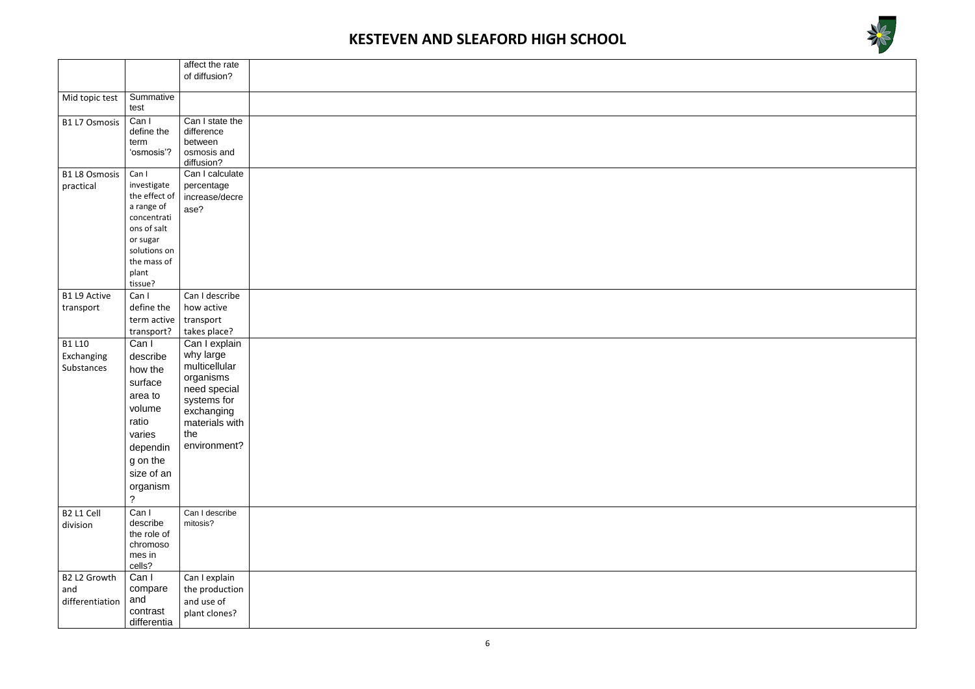

|                                           |                                                                                                                                                               | affect the rate                                                                                                                                |  |
|-------------------------------------------|---------------------------------------------------------------------------------------------------------------------------------------------------------------|------------------------------------------------------------------------------------------------------------------------------------------------|--|
|                                           |                                                                                                                                                               | of diffusion?                                                                                                                                  |  |
| Mid topic test                            | Summative<br>test                                                                                                                                             |                                                                                                                                                |  |
| <b>B1 L7 Osmosis</b>                      | Can I<br>define the<br>term<br>'osmosis'?                                                                                                                     | Can I state the<br>difference<br>between<br>osmosis and<br>diffusion?                                                                          |  |
| <b>B1 L8 Osmosis</b><br>practical         | Can I<br>investigate<br>the effect of<br>a range of<br>concentrati<br>ons of salt<br>or sugar<br>solutions on<br>the mass of<br>plant<br>tissue?              | Can I calculate<br>percentage<br>increase/decre<br>ase?                                                                                        |  |
| <b>B1 L9 Active</b><br>transport          | Can I<br>define the<br>term active<br>transport?                                                                                                              | Can I describe<br>how active<br>transport<br>takes place?                                                                                      |  |
| <b>B1 L10</b><br>Exchanging<br>Substances | Can I<br>describe<br>how the<br>surface<br>area to<br>volume<br>ratio<br>varies<br>dependin<br>g on the<br>size of an<br>organism<br>$\overline{\mathcal{C}}$ | Can I explain<br>why large<br>multicellular<br>organisms<br>need special<br>systems for<br>exchanging<br>materials with<br>the<br>environment? |  |
| B2 L1 Cell<br>division                    | Can I<br>describe<br>the role of<br>chromoso<br>mes in<br>cells?                                                                                              | Can I describe<br>mitosis?                                                                                                                     |  |
| B2 L2 Growth<br>and<br>differentiation    | Can I<br>compare<br>and<br>contrast<br>differentia                                                                                                            | Can I explain<br>the production<br>and use of<br>plant clones?                                                                                 |  |